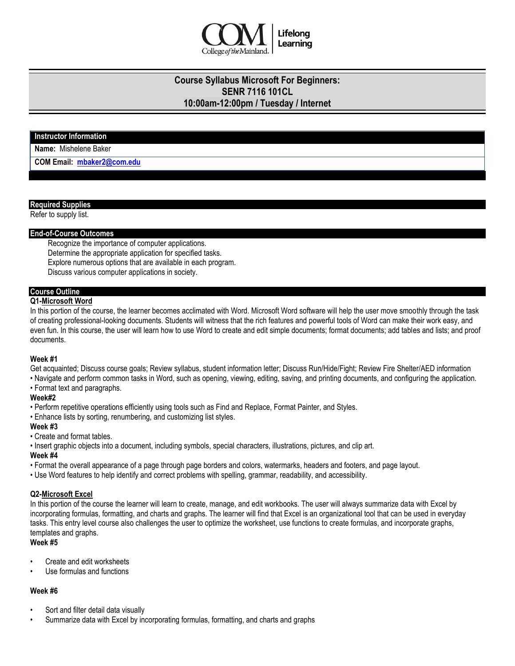

# **Course Syllabus Microsoft For Beginners: SENR 7116 101CL 10:00am-12:00pm / Tuesday / Internet**

### **Instructor Information**

**Name:** Mishelene Baker

**COM Email: [mbaker2@com.edu](mailto:mbaker2@com.edu)**

#### **Required Supplies**

Refer to supply list.

#### **End-of-Course Outcomes**

Recognize the importance of computer applications.

Determine the appropriate application for specified tasks.

Explore numerous options that are available in each program.

Discuss various computer applications in society.

# **Course Outline**

# **Q1-Microsoft Word**

In this portion of the course, the learner becomes acclimated with Word. Microsoft Word software will help the user move smoothly through the task of creating professional-looking documents. Students will witness that the rich features and powerful tools of Word can make their work easy, and even fun. In this course, the user will learn how to use Word to create and edit simple documents; format documents; add tables and lists; and proof documents.

#### **Week #1**

Get acquainted; Discuss course goals; Review syllabus, student information letter; Discuss Run/Hide/Fight; Review Fire Shelter/AED information

- Navigate and perform common tasks in Word, such as opening, viewing, editing, saving, and printing documents, and configuring the application.
- Format text and paragraphs.

#### **Week#2**

• Perform repetitive operations efficiently using tools such as Find and Replace, Format Painter, and Styles.

• Enhance lists by sorting, renumbering, and customizing list styles.

### **Week #3**

- Create and format tables.
- Insert graphic objects into a document, including symbols, special characters, illustrations, pictures, and clip art.

#### **Week #4**

- Format the overall appearance of a page through page borders and colors, watermarks, headers and footers, and page layout.
- Use Word features to help identify and correct problems with spelling, grammar, readability, and accessibility.

#### **Q2-Microsoft Excel**

In this portion of the course the learner will learn to create, manage, and edit workbooks. The user will always summarize data with Excel by incorporating formulas, formatting, and charts and graphs. The learner will find that Excel is an organizational tool that can be used in everyday tasks. This entry level course also challenges the user to optimize the worksheet, use functions to create formulas, and incorporate graphs, templates and graphs.

## **Week #5**

- Create and edit worksheets
- Use formulas and functions

## **Week #6**

- Sort and filter detail data visually
- Summarize data with Excel by incorporating formulas, formatting, and charts and graphs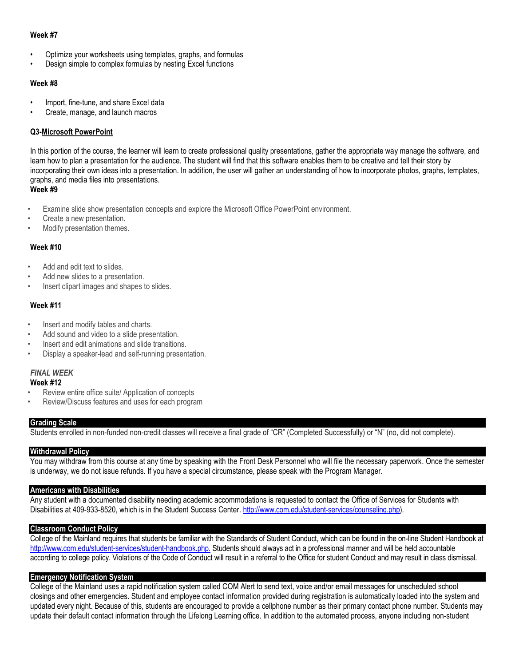#### **Week #7**

- Optimize your worksheets using templates, graphs, and formulas
- Design simple to complex formulas by nesting Excel functions

#### **Week #8**

- Import, fine-tune, and share Excel data
- Create, manage, and launch macros

## **Q3-Microsoft PowerPoint**

In this portion of the course, the learner will learn to create professional quality presentations, gather the appropriate way manage the software, and learn how to plan a presentation for the audience. The student will find that this software enables them to be creative and tell their story by incorporating their own ideas into a presentation. In addition, the user will gather an understanding of how to incorporate photos, graphs, templates, graphs, and media files into presentations.

**Week #9**

- Examine slide show presentation concepts and explore the Microsoft Office PowerPoint environment.
- Create a new presentation.
- Modify presentation themes.

### **Week #10**

- Add and edit text to slides.
- Add new slides to a presentation.
- Insert clipart images and shapes to slides.

### **Week #11**

- Insert and modify tables and charts.
- Add sound and video to a slide presentation.
- Insert and edit animations and slide transitions.
- Display a speaker-lead and self-running presentation.

#### *FINAL WEEK* **Week #12**

- 
- Review entire office suite/ Application of concepts
- Review/Discuss features and uses for each program

#### **Grading Scale**

Students enrolled in non-funded non-credit classes will receive a final grade of "CR" (Completed Successfully) or "N" (no, did not complete).

#### **Withdrawal Policy**

You may withdraw from this course at any time by speaking with the Front Desk Personnel who will file the necessary paperwork. Once the semester is underway, we do not issue refunds. If you have a special circumstance, please speak with the Program Manager.

#### **Americans with Disabilities**

Any student with a documented disability needing academic accommodations is requested to contact the Office of Services for Students with Disabilities at 409-933-8520, which is in the Student Success Center. [http://www.com.edu/student-services/counseling.php\)](http://www.com.edu/student-services/counseling.php).

#### **Classroom Conduct Policy**

College of the Mainland requires that students be familiar with the Standards of Student Conduct, which can be found in the on-line Student Handbook at [http://www.com.edu/student-services/student-handbook.php.](http://www.com.edu/student-services/student-handbook.php) Students should always act in a professional manner and will be held accountable according to college policy. Violations of the Code of Conduct will result in a referral to the Office for student Conduct and may result in class dismissal.

#### **Emergency Notification System**

College of the Mainland uses a rapid notification system called COM Alert to send text, voice and/or email messages for unscheduled school closings and other emergencies. Student and employee contact information provided during registration is automatically loaded into the system and updated every night. Because of this, students are encouraged to provide a cellphone number as their primary contact phone number. Students may update their default contact information through the Lifelong Learning office. In addition to the automated process, anyone including non-student